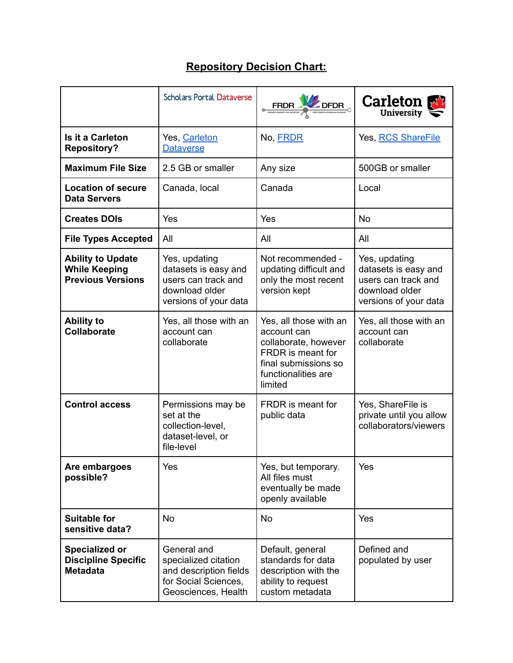## **Repository Decision Chart:**

|                                                                              | <b>Scholars Portal Dataverse</b>                                                                             | <b>FRDR</b>                                                                                                                                  | <b>Carleton</b><br>University                                                                           |
|------------------------------------------------------------------------------|--------------------------------------------------------------------------------------------------------------|----------------------------------------------------------------------------------------------------------------------------------------------|---------------------------------------------------------------------------------------------------------|
| <b>Is it a Carleton</b><br><b>Repository?</b>                                | Yes, Carleton<br><b>Dataverse</b>                                                                            | No, FRDR                                                                                                                                     | Yes, RCS ShareFile                                                                                      |
| <b>Maximum File Size</b>                                                     | 2.5 GB or smaller                                                                                            | Any size                                                                                                                                     | 500GB or smaller                                                                                        |
| <b>Location of secure</b><br><b>Data Servers</b>                             | Canada, local                                                                                                | Canada                                                                                                                                       | Local                                                                                                   |
| <b>Creates DOIs</b>                                                          | Yes                                                                                                          | Yes                                                                                                                                          | <b>No</b>                                                                                               |
| <b>File Types Accepted</b>                                                   | All                                                                                                          | All                                                                                                                                          | All                                                                                                     |
| <b>Ability to Update</b><br><b>While Keeping</b><br><b>Previous Versions</b> | Yes, updating<br>datasets is easy and<br>users can track and<br>download older<br>versions of your data      | Not recommended -<br>updating difficult and<br>only the most recent<br>version kept                                                          | Yes, updating<br>datasets is easy and<br>users can track and<br>download older<br>versions of your data |
| <b>Ability to</b><br><b>Collaborate</b>                                      | Yes, all those with an<br>account can<br>collaborate                                                         | Yes, all those with an<br>account can<br>collaborate, however<br>FRDR is meant for<br>final submissions so<br>functionalities are<br>limited | Yes, all those with an<br>account can<br>collaborate                                                    |
| <b>Control access</b>                                                        | Permissions may be<br>set at the<br>collection-level,<br>dataset-level, or<br>file-level                     | FRDR is meant for<br>public data                                                                                                             | Yes, ShareFile is<br>private until you allow<br>collaborators/viewers                                   |
| Are embargoes<br>possible?                                                   | Yes                                                                                                          | Yes, but temporary.<br>All files must<br>eventually be made<br>openly available                                                              | Yes                                                                                                     |
| <b>Suitable for</b><br>sensitive data?                                       | No                                                                                                           | <b>No</b>                                                                                                                                    | Yes                                                                                                     |
| <b>Specialized or</b><br><b>Discipline Specific</b><br><b>Metadata</b>       | General and<br>specialized citation<br>and description fields<br>for Social Sciences,<br>Geosciences, Health | Default, general<br>standards for data<br>description with the<br>ability to request<br>custom metadata                                      | Defined and<br>populated by user                                                                        |